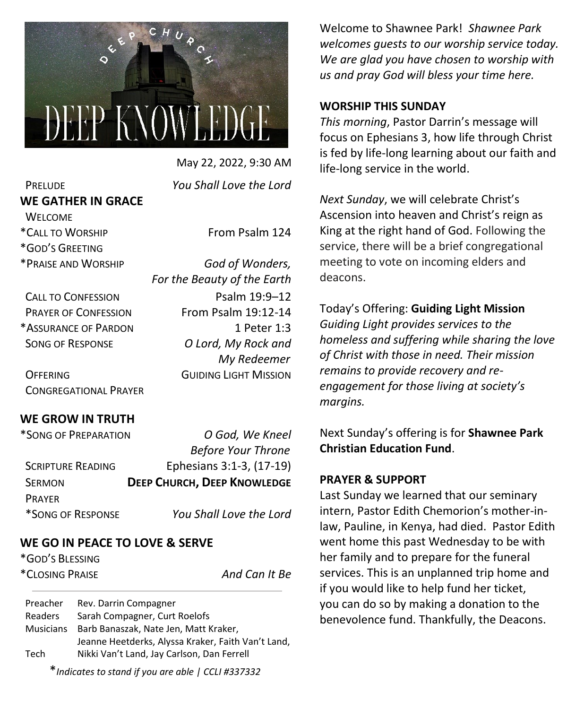

 May 22, 2022, 9:30 AM PRELUDE *You Shall Love the Lord*

*For the Beauty of the Earth* 

# **WE GATHER IN GRACE WELCOME**

\*CALL TO WORSHIP From Psalm 124

\*GOD'S GREETING

\*PRAISE AND WORSHIP *God of Wonders,* 

CALL TO CONFESSION PSalm 19:9-12 PRAYER OF CONFESSION From Psalm 19:12-14 \*ASSURANCE OF PARDON 1 Peter 1:3 SONG OF RESPONSE *O Lord, My Rock and* 

OFFERING GUIDING LIGHT MISSION CONGREGATIONAL PRAYER

## **WE GROW IN TRUTH**

| *SONG OF PREPARATION     | O God, We Kneel                    |
|--------------------------|------------------------------------|
|                          | <b>Before Your Throne</b>          |
| <b>SCRIPTURE READING</b> | Ephesians 3:1-3, (17-19)           |
| <b>SERMON</b>            | <b>DEEP CHURCH, DEEP KNOWLEDGE</b> |
| <b>PRAYFR</b>            |                                    |
| *SONG OF RESPONSE        | You Shall Love the Lord            |

# **WE GO IN PEACE TO LOVE & SERVE**

\*GOD'S BLESSING \*CLOSING PRAISE *And Can It Be*

*My Redeemer*

Preacher Rev. Darrin Compagner Readers Sarah Compagner, Curt Roelofs Musicians Barb Banaszak, Nate Jen, Matt Kraker, Jeanne Heetderks, Alyssa Kraker, Faith Van't Land, Tech Nikki Van't Land, Jay Carlson, Dan Ferrell

Welcome to Shawnee Park! *Shawnee Park welcomes guests to our worship service today. We are glad you have chosen to worship with us and pray God will bless your time here.*

#### **WORSHIP THIS SUNDAY**

*This morning*, Pastor Darrin's message will focus on Ephesians 3, how life through Christ is fed by life-long learning about our faith and life-long service in the world.

*Next Sunday*, we will celebrate Christ's Ascension into heaven and Christ's reign as King at the right hand of God. Following the service, there will be a brief congregational meeting to vote on incoming elders and deacons.

Today's Offering: **Guiding Light Mission** *Guiding Light provides services to the homeless and suffering while sharing the love of Christ with those in need. Their mission remains to provide recovery and reengagement for those living at society's margins.*

Next Sunday's offering is for **Shawnee Park Christian Education Fund**.

#### **PRAYER & SUPPORT**

Last Sunday we learned that our seminary intern, Pastor Edith Chemorion's mother-inlaw, Pauline, in Kenya, had died. Pastor Edith went home this past Wednesday to be with her family and to prepare for the funeral services. This is an unplanned trip home and if you would like to help fund her ticket, you can do so by making a donation to the benevolence fund. Thankfully, the Deacons.

\**Indicates to stand if you are able | CCLI #337332*